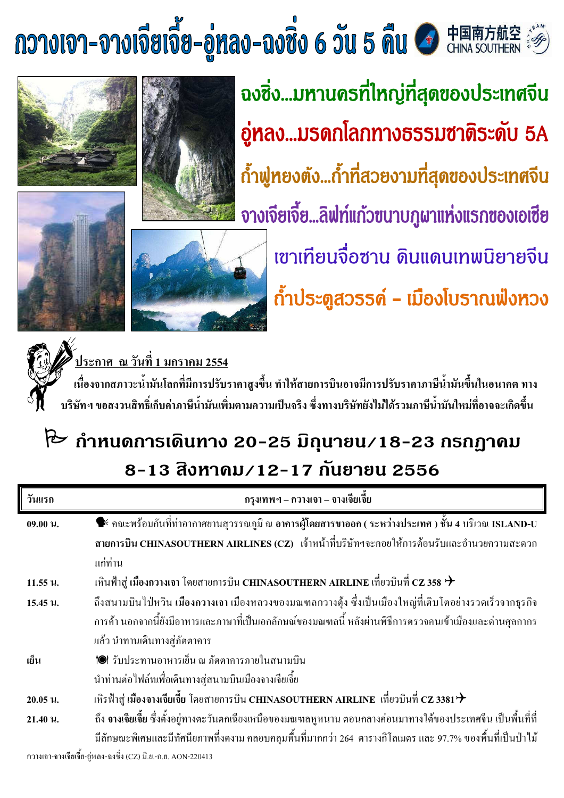# $\limsup_{n\to\infty}$   $\limsup_{n\to\infty}$   $\limsup_{n\to\infty}$   $\limsup_{n\to\infty}$   $\limsup_{n\to\infty}$   $\limsup_{n\to\infty}$   $\limsup_{n\to\infty}$   $\limsup_{n\to\infty}$





้ฉงซิ่ง...มหานครที่ใหญ่ที่สุดของประเทศจีน อู่หลง...มรดกโลกทางธรรมชาติระดับ 5A ถ้ำฟูหยงตัง...ถ้ำที่สวยงามที่สุดของประเทศจีน ้จางเจียเจี้ย...ลิฟท์แก้วฃนาบภูผาแท่งแรกของเอเชีย ้เขาเทียนจื่อซาน ดินแดนเทพนิยายจีน





í



2554 (พระภาศ) ณ วันที่ 1 มกราคม 2554

เนื่องจากสภาวะน้ำมันโลกที่มีการปรับราคาสูงขึ้น ทำให้สายการบินอาจมีการปรับราคาภาษีน้ำมันขึ้นในอนาคต ทาง บริษัทฯ ขอสงวนสิทธิ์เก็บค่าภาษีน้ำมันเพิ่มตามความเป็นจริง ซึ่งทางบริษัทยังไม่ได้รวมภาษีน้ำมันใหม่ที่อาจจะเกิดขึ้น

# ใั้ $\sim$  กำหนดการเดินทาง 20-25 มิถุนายน∕18-23 กรกฏาคม ี<br>8−13 สิงหาดม∕12−17 กันยายน 2556

| วันแรก   | ึกรุงเทพฯ – กวางเจา – จางเจียเจี้ย                                                                                                 |
|----------|------------------------------------------------------------------------------------------------------------------------------------|
| 09.00 u. | ี <del>•ี คณ</del> ะพร้อมกันที่ท่าอากาศยานสุวรรณภูมิ ณ อา <mark>การผู้โดยสารขาออก ( ระหว่างประเทศ ) ชั้น 4 บ</mark> ริเวณ ISLAND-U |
|          | สายการบิน CHINASOUTHERN AIRLINES (CZ) เจ้าหน้าที่บริษัทฯจะคอยให้การต้อนรับและอำนวยความสะดวก                                        |
|          | แก่ท่าน                                                                                                                            |
| 11.55 u. | เหินฟ้าสู่ เมืองกวางเจา โดยสายการบิน CHINASOUTHERN AIRLINE เที่ยวบินที่ CZ 358 $\bm{\dot{+}}$                                      |
| 15.45 u. | ้ถึงสนามบินไป่หวิน เมืองกวางเจา เมืองหลวงของมณฑลกวางตุ้ง ซึ่งเป็นเมืองใหญ่ที่เติบโตอย่างรวดเร็วจากธุรกิจ                           |
|          | ี การค้า นอกจากนี้ยังมีอาหารและภาษาที่เป็นเอกลักษณ์ของมณฑลนี้ หลังผ่านพิธีการตรวจคนเข้าเมืองและค่านศุลกากร                         |
|          | ้แล้ว นำทานเดินทางสู่ภัตตาคาร                                                                                                      |
| เย็น     | 1●1 รับประทานอาหารเย็น ณ ภัตตาคารภายในสนามบิน                                                                                      |
|          | นำท่านต่อใฟล์ทเพื่อเดินทางสู่สนามบินเมืองจางเจียเจี้ย                                                                              |
| 20.05 u. | เหิรฟ้าสู่ เมืองจางเจียเจี้ย โดยสายการบิน CHINASOUTHERN AIRLINE  เที่ยวบินที่ CZ 3381 $\bm{\dot{\tau}}$                            |
| 21.40 u. | ้ถึง จางเจียเจี้ย ซึ่งตั้งอยู่ทางตะวันตกเฉียงเหนือของมณฑลหูหนาน ตอนกลางค่อนมาทางใต้ของประเทศจีน เป็นพื้นที่ที่                     |
|          | ้มีลักษณะพิเศษและมีทัศนียภาพที่งคงาม คลอบคลุมพื้นที่มากกว่า 264  ตารางกิโลเมตร และ 97.7% ของพื้นที่เป็นป่าไม้                      |

กวางเจา-จางเจียเจี๋ย-อู่หลง-ฉงชิ่ง (CZ) มิ.ย.-ก.ย. AON-220413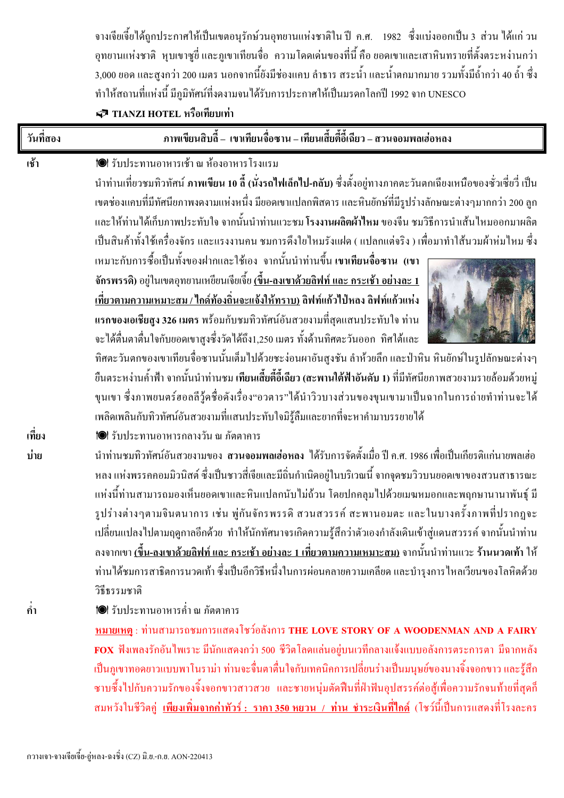์ จางเจียเจี้ยได้ถูกประกาศให้เป็นเขตอนุรักษ์วนอุทยานแห่งชาติใน ปี ค.ศ. 1982 ซึ่งแบ่งออกเป็น 3 ส่วน ได้แก่ วน อุทยานแห่งชาติ หุบเขาซูยี่ และภูเขาเทียนจื่อ ความโดดเด่นของที่นี้ คือ ยอดเขาและเสาหินทรายที่ตั้งตระหง่านกว่า 3,000 ยอด และสูงกว่า 200 เมตร นอกจากนี้ยังมีช่องแคบ ลำธาร สระน้ำ และน้ำตกมากมาย รวมทั้งมีถ้ำกว่า 40 ถ้ำ ซึ่ง ทำให้สถานที่แห่งนี้ มีภูมิทัศน์ที่งดงามจนได้รับการประกาศให้เป็นมรดกโลกปี 1992 จาก UNESCO TIANZI HOTEL หรือเทียบเท่า

| วันที่สอง | ภาพเขียนสิบลี้ – เขาเทียนจื่อซาน – เทียนเสี้ยตี้อี้เฉียว – สวนจอมพลเฮ่อหลง                                                                                                                                                                                                                                                                                                                                                                                                                                                                                                                                                                                                                                                                                                                                                                                                                                                                                                                                                                                                                                                                                                                                                                                                                            |
|-----------|-------------------------------------------------------------------------------------------------------------------------------------------------------------------------------------------------------------------------------------------------------------------------------------------------------------------------------------------------------------------------------------------------------------------------------------------------------------------------------------------------------------------------------------------------------------------------------------------------------------------------------------------------------------------------------------------------------------------------------------------------------------------------------------------------------------------------------------------------------------------------------------------------------------------------------------------------------------------------------------------------------------------------------------------------------------------------------------------------------------------------------------------------------------------------------------------------------------------------------------------------------------------------------------------------------|
| เช้า      | 1● รับประทานอาหารเช้า ณ ห้องอาหารโรงแรม<br>นำท่านเที่ยวชมทิวทัศน์ <b>ภาพเขียน 10 ลี้ (นั่งรถไฟเล็กไป-กลับ)</b> ซึ่งตั้งอยู่ทางภาคตะวันตกเฉียงเหนือของซั่วเซี่ยวี่ เป็น<br>เขตช่องแคบที่มีทัศนียภาพงคงามแห่งหนึ่ง มียอดเขาแปลกพิสคาร และหินยักษ์ที่มีรูปร่างลักษณะต่างๆมากกว่า 200 ลูก<br>และให้ท่านได้เก็บภาพประทับใจ จากนั้นนำท่านแวะชม โรงงานผลิตผ้าใหม ของจีน ชมวิธีการนำเส้นใหมออกมาผลิต<br>เป็นสินค้าทั้งใช้เครื่องจักร และแรงงานคน ชมการคึงใยใหมรังแฝด ( แปลกแต่จริง ) เพื่อมาทำใส้นวมผ้าห่มใหม ซึ่ง<br>เหมาะกับการซื้อเป็นทั้งของฝากและใช้เอง จากนั้นนำท่านขึ้นเขาเทียนจื่อซาน (เขา<br>้จักรพรรดิ) อยู่ในเขตอุทยานเหยียนเจียเจี้ย <u>(ขึ้น-ลงเขาด้วยลิฟท์ และ กระเช้า อย่างละ 1</u><br><u>เที่ยวตามความเหมาะสม / ใกด์ท้องถิ่นจะแจ้งให้ทราบ)</u> ลิฟท์แก้วไป่หลง ลิฟท์แก้วแห่ง<br>แรกของเอเชียสูง 326 เมตร พร้อมกับชมทิวทัศน์อันสวยงามที่สุดแสนประทับใจ ท่าน<br>จะได้ตื่นตาตื่นใจกับยอดเขาสูงซึ่งวัดได้ถึง1,250 เมตร ทั้งด้านทิศตะวันออก  ทิศใต้และ<br>ทิศตะวันตกของเขาเทียนจื่อซานนั้นเต็มใปด้วยชะง่อนผาอันสูงชัน ลำห้วยลึก และป่าหิน หินยักษ์ในรูปลักษณะต่างๆ<br>ี้ยืนตระหง่านค้ำฟ้า จากนั้นนำท่านชม เทียนเสี้ยตี้อี้เฉียว (สะพานใต้ฟ้าอันดับ 1) ที่มีทัศนียภาพสวยงามรายล้อมด้วยหมู่<br>ขุนเขา ซึ่งภาพยนตร์ฮอลลีวู้คชื่อคังเรื่อง"อวตาร"ใค้นำวิวบางส่วนของขุนเขามาเป็นฉากในการถ่ายทำท่านจะใค้ |
| ้เที่ยง   | เพลิดเพลินกับทิวทัศน์อันสวยงามที่แสนประทับใจมิรู้ลืมและยากที่จะหาคำมาบรรยายใด้<br>1● รับประทานอาหารกลางวัน ณ ภัตตาคาร                                                                                                                                                                                                                                                                                                                                                                                                                                                                                                                                                                                                                                                                                                                                                                                                                                                                                                                                                                                                                                                                                                                                                                                 |
| บ่าย      | นำท่านชมทิวทัศน์อันสวยงามของ <b>สวนจอมพลเฮ่อหลง</b> ได้รับการจัดตั้งเมื่อ ปี ค.ศ. 1986 เพื่อเป็นเกียรติแก่นายพลเฮ่อ<br>หลง แห่งพรรคคอมมิวนิสต์ ซึ่งเป็นชาวสี่เจียและมีถิ่นกำเนิดอยู่ในบริเวณนี้ จากจุดชมวิวบนยอดเขาของสวนสาธารณะ<br>แห่งนี้ท่านสามารถมองเห็นยอดเขาและหินแปลกนับไม่ถ้วน โดยปกคลุมไปด้วยเมฆหมอกและพฤกษานานาพันฐ์ มี<br>รูปร่างต่างๆตามจินตนาการ เช่น พู่กันจักรพรรดิ สวนสวรรค์ สะพานอมตะ และในบางครั้งภาพที่ปรากฎจะ<br>เปลี่ยนแปลงไปตามฤดูกาลอีกด้วย ทำให้นักทัศนาจรเกิดความรู้สึกว่าตัวเองกำลังเดินเข้าสู่แดนสวรรค์ จากนั้นนำท่าน<br>้ลงจากเขา <u>(ขึ้น-ลงเขาด้วยลิฟท์ และ กระเช้า อย่างละ 1 เที่ยวตามความเหมาะสม)</u> จากนั้นนำท่านแวะ ร้านนวดเท้า ให้<br>ท่านได้ชมการสาธิตการนวดเท้า ซึ่งเป็นอีกวิธีหนึ่งในการผ่อนคลายความเคลียด และบำรุงการไหลเวียนของโลหิตด้วย<br>วิธีธรรมชาติ                                                                                                                                                                                                                                                                                                                                                                                                                                                                                                     |
| ้คำ       | 1● รับประทานอาหารค่ำ ณ ภัตตาคาร<br>หมายเหตุ: ท่านสามารถชมการแสดงโชว์อลังการ THE LOVE STORY OF A WOODENMAN AND A FAIRY<br>$\overline{\textbf{FOX}}$ ฟังเพลงรักอันไพเราะ มีนักแสดงกว่า 500 ชีวิตโลดแล่นอยู่บนเวทีกลางแจ้งแบบอลังการตระการตา มีฉากหลัง<br>เป็นภูเขาทอดยาวแบบพาโนราม่า ท่านจะจื่นตาตื่นใจกับเทคนิคการเปลี่ยนร่างเป็นมนุษย์ของนางจิ้งจอกขาว และรู้สึก<br>ซาบซึ้งไปกับความรักของจิ้งจอกขาวสาวสวย และชายหนุ่มตัดฟืนที่ฝ่าฟันอุปสรรค์ต่อสู้เพื่อความรักจนท้ายที่สุดก็<br>ี สมหวังในชีวิตคู่ <u>เพียงเพิ่มจากค่าทัวร์ :   ราคา 350 หยวน  /  ท่าน  ชำระเงินที่ไกด์</u> (โชว์นี้เป็นการแสดงที่โรงละคร                                                                                                                                                                                                                                                                                                                                                                                                                                                                                                                                                                                                                                                                                            |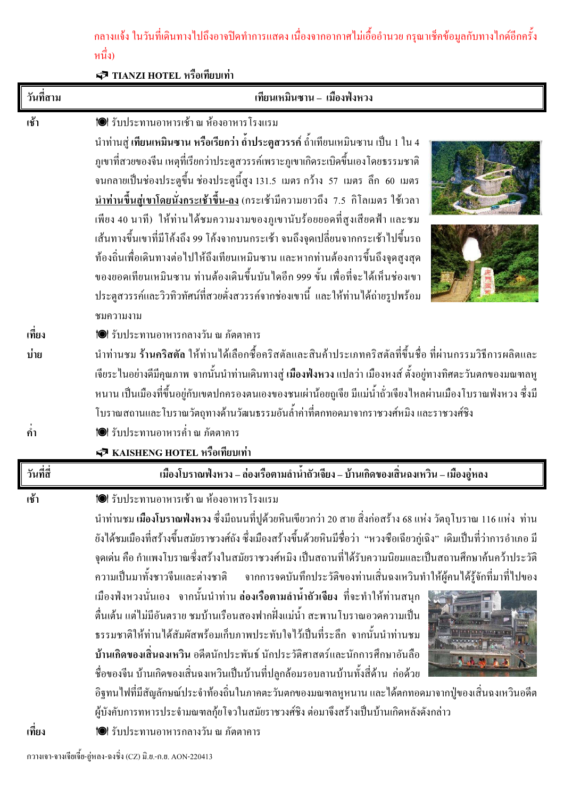ึกลางแจ้ง ในวันที่เดินทางไปถึงอาจปิดทำการแสดง เนื่องจากอากาศไม่เอื้ออำนวย กรุณาเช็คข้อมูลกับทางไกด์อีกครั้ง หนึ่ง)

TIANZI HOTEL หรือเทียบเท่า

| วันที่สาม | เทียนเหมินซาน – เมืองฟังหวง                                                                                                                                                                                                                                                                                                                                                                                                                                                                                                                                                                                                                                                                                                                                                                                                                                                                                                                                                                                                                                                                                                                  |
|-----------|----------------------------------------------------------------------------------------------------------------------------------------------------------------------------------------------------------------------------------------------------------------------------------------------------------------------------------------------------------------------------------------------------------------------------------------------------------------------------------------------------------------------------------------------------------------------------------------------------------------------------------------------------------------------------------------------------------------------------------------------------------------------------------------------------------------------------------------------------------------------------------------------------------------------------------------------------------------------------------------------------------------------------------------------------------------------------------------------------------------------------------------------|
| เช้า      | 1● รับประทานอาหารเช้า ณ ห้องอาหาร โรงแรม<br>ู นำท่านสู่ เ <b>ทียนเหมินซาน หรือเรียกว่า ถ้ำประตูสวรรค</b> ์ ถ้ำเทียนเหมินซาน เป็น 1 ใน 4<br>ภูเขาที่สวยของจีน เหตุที่เรียกว่าประตูสวรรค์เพราะภูเขาเกิดระเบิดขึ้นเองโดยธรรมชาติ<br>จนกลายเป็นช่องประตูขึ้น ช่องประตูนี้สูง 131.5 เมตร กว้าง 57 เมตร ลึก 60 เมตร<br><u>นำท่านขึ้นสู่เขาโดยนั่งกระเช้าขึ้น-ลง</u> (กระเช้ามีความยาวถึง <i>7.5</i> กิโลเมตร ใช้เวลา<br>เพียง 40 นาที)  ให้ท่านใด้ชมความงามของภูเขานับร้อยยอดที่สูงเสียดฟ้า และชม<br>เส้นทางขึ้นเขาที่มีโค้งถึง 99 โค้งจากบนกระเช้า จนถึงจุดเปลี่ยนจากกระเช้าไปขึ้นรถ<br>ท้องถิ่นเพื่อเดินทางต่อไปให้ถึงเทียนเหมินซาน และหากท่านต้องการขึ้นถึงจุดสูงสุด<br>ของยอดเทียนเหมินซาน ท่านต้องเดินขึ้นบันไดอีก 999 ขั้น เพื่อที่จะได้เห็นช่องเขา<br>ประตูสวรรค์และวิวทิวทัศน์ที่สวยดั่งสวรรค์จากช่องเขานี้ และให้ท่านได้ถ่ายรูปพร้อม<br>ชมความงาม                                                                                                                                                                                                                                                                                         |
| ้เที่ยง   | 1● รับประทานอาหารกลางวัน ณ ภัตตาคาร                                                                                                                                                                                                                                                                                                                                                                                                                                                                                                                                                                                                                                                                                                                                                                                                                                                                                                                                                                                                                                                                                                          |
| บ่าย      | นำท่านชม ร้านคริสตัล ให้ท่านใด้เลือกซื้อคริสตัลและสินค้าประเภทคริสตัลที่ขึ้นชื่อ ที่ผ่านกรรมวิธีการผลิตและ<br>้เจียระในอย่างดีมีคุณภาพ จากนั้นนำท่านเดินทางสู่ <mark>เมืองฟ่งหวง</mark> แปลว่า เมืองหงส์ ตั้งอยู่ทางทิศตะวันตกของมณฑลหู<br>หนาน เป็นเมืองที่ขึ้นอยู่กับเขตปกครองตนเองของชนเผ่าน้อยถูเจีย มีแม่น้ำถั่วเจียงไหลผ่านเมืองโบราณฟ่งหวง ซึ่งมี<br>โบราณสถานและโบราณวัตถุทางด้านวัฒนธรรมอันล้ำค่าที่ตกทอดมาจากราชวงศ์หมิง และราชวงศ์ชิง                                                                                                                                                                                                                                                                                                                                                                                                                                                                                                                                                                                                                                                                                             |
| ้คำ       | 1●1 รับประทานอาหารค่ำ ณ ภัตตาคาร                                                                                                                                                                                                                                                                                                                                                                                                                                                                                                                                                                                                                                                                                                                                                                                                                                                                                                                                                                                                                                                                                                             |
|           | 5 KAISHENG HOTEL หรือเทียบเท่า                                                                                                                                                                                                                                                                                                                                                                                                                                                                                                                                                                                                                                                                                                                                                                                                                                                                                                                                                                                                                                                                                                               |
| วันที่สื่ | เมืองโบราณฟังหวง – ล่องเรือตามลำน้ำถัวเจียง – บ้านเกิดของเสิ่นฉงเหวิน – เมืองอู่หลง                                                                                                                                                                                                                                                                                                                                                                                                                                                                                                                                                                                                                                                                                                                                                                                                                                                                                                                                                                                                                                                          |
| เช้า      | <b>10</b> 1 รับประทานอาหารเช้า ณ ห้องอาหารโรงแรม<br>้นำท่านชม เมืองโบราณฟังหวง ซึ่งมีถนนที่ปูด้วยหินเขียวกว่า 20 สาย สิ่งก่อสร้าง 68 แห่ง วัตถุโบราณ 116 แห่ง  ท่าน<br>ยังได้ชมเมืองที่สร้างขึ้นสมัยราชวงศ์ถัง ซึ่งเมืองสร้างขึ้นด้วยหินมีชื่อว่า  "หวงซือเฉียวกู่เฉิง" เดิมเป็นที่ว่าการอำเภอ มี<br>จุดเด่น คือ กำแพงโบราณซึ่งสร้างในสมัยราชวงศ์หมิง เป็นสถานที่ได้รับความนิยมและเป็นสถานศึกษาค้นคว้าประวัติ<br>ความเป็นมาทั้งชาวจีนและต่างชาติ จากการจดบันทึกประวัติของท่านเสิ่นฉงเหวินทำให้ผู้คนได้รู้จักที่มาที่ไปของ<br>เมืองฟ่งหวงนั่นเอง จากนั้นนำท่าน ล่องเรือตามลำน้ำถัวเจียง ที่จะทำให้ท่านสนุก<br>ดื่นเต้น แต่ไม่มีอันตราย ชมบ้านเรือนสองฟากฝั่งแม่น้ำ สะพานโบราณอวดความเป็น<br>ธรรมชาติให้ท่านได้สัมผัสพร้อมเก็บภาพประทับใจไว้เป็นที่ระลึก จากนั้นนำท่านชม<br>บ้านเกิดของเสินฉงเหวิน อดีตนักประพันธ์ นักประวัติศาสตร์และนักการศึกษาอันลือ<br>ชื่อของจีน บ้านเกิดของเสิ่นฉงเหวินเป็นบ้านที่ปลูกล้อมรอบลานบ้านทั้งสี่ด้าน  ก่อด้วย<br>อิฐทนไฟที่มีสัญลักษณ์ประจำท้องถิ่นในภาคตะวันตกของมณฑลหูหนาน และได้ตกทอดมาจากปู่ของเสิ่นฉงเหวินอดีต<br>ผู้บังคับการทหารประจำมณฑลกุ้ยโจวในสมัยราชวงศ์ชิง ต่อมาจึงสร้างเป็นบ้านเกิดหลังดังกล่าว |
| เที่ยง    | 1● รับประทานอาหารกลางวัน ณ ภัตตาคาร                                                                                                                                                                                                                                                                                                                                                                                                                                                                                                                                                                                                                                                                                                                                                                                                                                                                                                                                                                                                                                                                                                          |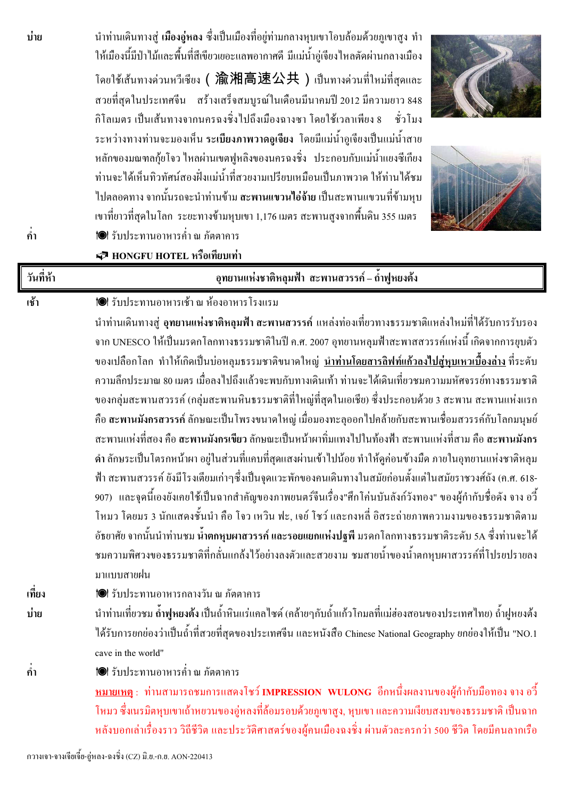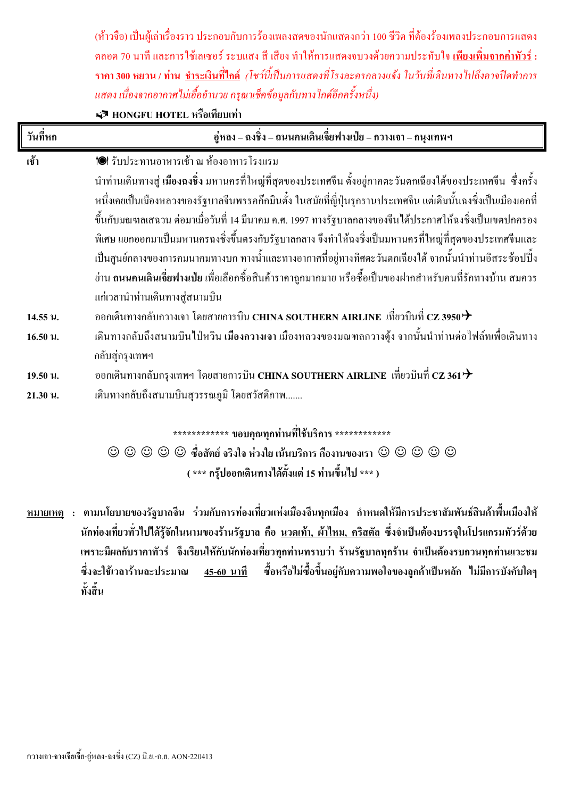(ห้าวจือ) เป็นผู้เล่าเรื่องราว ประกอบกับการร้องเพลงสดของนักแสดงกว่า 100 ชีวิต ที่ต้องร้องเพลงประกอบการแสดง ี ตลอด 70 นาที และการใช้เลเซอร์ ระบแสง สี เสียง ทำให้การแสดงจบวงด้วยความประทับใจ เพี<mark>ยงเพิ่มจากค่าทัวร์ :</mark> ี ร<mark>าคา 300 หยวน / ท่าน <u>ชำระเงินที่ไกด์</u> (โชว์นี้เป็น</mark>การแสดงที่โรงละครกลางแจ้ง ในวันที่เดินทางไปถึงอาจปิดทำการ แสดง เนื่องจากอากาศไม่เอื้ออำนวย กรุณาเช็คข้อมูลกับทางไกด์อีกครั้งหนึ่ง)

P HONGFU HOTEL หรือเทียบเท่า

| วันที่หก | อู่หลง – ฉงชิ่ง – ถนนคนเดินเจี่ยฟางเป่ย – กวางเจา – กนุงเทพฯ                                                      |
|----------|-------------------------------------------------------------------------------------------------------------------|
| เช้า     | 1● รับประทานอาหารเช้า ณ ห้องอาหาร โรงแรม                                                                          |
|          | ่ นำท่านเดินทางสู่ เมืองฉงชิ่ง มหานครที่ใหญ่ที่สุดของประเทศจีน ตั้งอยู่ภาคตะวันตกเฉียงใต้ของประเทศจีน  ซึ่งครั้ง  |
|          | หนึ่งเคยเป็นเมืองหลวงของรัฐบาลจีนพรรคก๊กมินตั๋ง ในสมัยที่ญี่ปุ่นรุกรานประเทศจีน แต่เดิมนั้นฉงชิ่งเป็นเมืองเอกที่  |
|          | ์ ขึ้นกับมณฑลเสฉวน ต่อมาเมื่อวันที่ 14 มีนาคม ค.ศ. 1997 ทางรัฐบาลกลางของจีนได้ประกาศให้ฉงชิ่งเป็นเขตปกครอง        |
|          | พิเศษ แยกออกมาเป็นมหานครฉงซิ่งขึ้นตรงกับรัฐบาลกลาง จึงทำให้ฉงซิ่งเป็นมหานครที่ใหญ่ที่สุดของประเทศจีนและ           |
|          | เป็นศูนย์กลางของการคมนาคมทางบก ทางน้ำและทางอากาศที่อยู่ทางทิศตะวันตกเฉียงใต้ จากนั้นนำท่านอิสระช้อปปิ้ง           |
|          | ย่าน <b>ถนนคนเดินเจี่ยฟางเป่ย</b> เพื่อเลือกซื้อสินค้าราคาถูกมากมาย หรือซื้อเป็นของฝากสำหรับคนที่รักทางบ้าน สมควร |
|          | แก่เวลานำท่านเดินทางสู่สนามบิน                                                                                    |
| 14.55 u. | ออกเดินทางกลับกวางเจา โดยสายการบิน CHINA SOUTHERN AIRLINE  เที่ยวบินที่ CZ 3950 $\bm{\dot{\tau}}$                 |
| 16.50 u. | เดินทางกลับถึงสนามบินไป่หวิน <mark>เมืองกวางเจา</mark> เมืองหลวงของมณฑลกวางตุ้ง จากนั้นนำท่านต่อไฟล์ทเพื่อเดินทาง |
|          | กลับสู่กรุงเทพฯ                                                                                                   |
| 19.50 u. | ออกเดินทางกลับกรุงเทพฯ โดยสายการบิน CHINA SOUTHERN AIRLINE  เที่ยวบินที่ CZ 361 $\bm{\dot{\tau}}$                 |
| 21.30 u. | เดินทางกลับถึงสนามบินสุวรรณภูมิ โดยสวัสดิภาพ                                                                      |
|          | ≀ ⇔່ານ ≏                                                                                                          |

\*\*\*\*\*\*\*\*\*\*\*\* ขอบคณทกท่านที่ใช้บริการ \*\*\*\*\*\*\*\*\*\*\*\*

 $\odot$   $\odot$   $\odot$   $\odot$   $\odot$   $\ddot{\ddot{\theta}}$  ขึ้อสัตย์ จริงใจ ห่วงใย เน้นบริการ กืองานของเรา  $\odot$   $\odot$   $\odot$   $\odot$   $\odot$ ( \*\*\* กรุ๊ปออกเดินทางได้ตั้งแต่ 15 ท่านขึ้นไป \*\*\* )

<u>หมายเหตุ</u> : ตามนโยบายของรัฐบาลจีน ร่วมกับการท่องเที่ยวแห่งเมืองจีนทุกเมือง กำหนดให้มีการประชาสัมพันธ์สินค้าพื้นเมืองให้ ้นักท่องเที่ยวทั่วไปใด้รู้จักในนามของร้านรัฐบาล คือ นวดเท้า, ผ้าไหม, คริสตัล ซึ่งจำเป็นต้องบรรจุในโปรแกรมทัวร์ด้วย เพราะมีผลกับรากาทัวร์ จึงเรียนให้กับนักท่องเที่ยวทุกท่านทราบว่า ร้านรัฐบาลทุกร้าน จำเป็นต้องรบกวนทุกท่านแวะชม ซื้อหรือไม่ซื้อขึ้นอยู่กับความพอใจของลูกค้าเป็นหลัก ไม่มีการบังคับใดๆ ซึ่งจะใช้เวลาร้านละประมาณ 45-60 นาที ทั้งสิ้น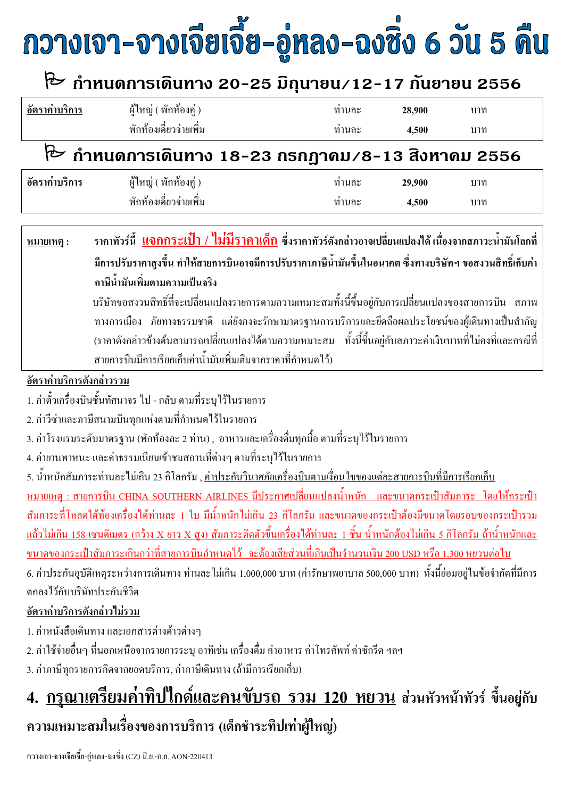# กวางเจา-จางเจียเจี้ย-อู่หลง-ฉงซิ่ง 6 วัน 5 คืน

## ใ้ กำหนดการเดินทาง 20-25 มิถุนายน∕12-17 กันยายน 2556

| $\circ$<br>้อัตรากาบริการ | ผู้ใหญ่ ( พักห้องคู่ ) | ทานละ | 28.900 | บาท |  |
|---------------------------|------------------------|-------|--------|-----|--|
|                           | พักห้องเดี๋ยวจ่ายเพิ่ม | ทานละ | 4.500  | บาท |  |
|                           |                        |       |        |     |  |

## ի กำหนดการเดินทาง 18-23 กรกฎาคม /8-13 สิงหาคม 2556

| $^{\circ}$<br>A<br>้อัตรากาบรัการ | ขด<br>$\sim$<br>ผู้ใหญ่<br>้ พักห์องคู่ )    | ทานละ | 29,900 | บาท |
|-----------------------------------|----------------------------------------------|-------|--------|-----|
|                                   | ഄ ൖ<br>$\triangle$<br>⊿<br>ิพกห์องเคยวจายเพม | ทานละ | 4.500  | บาท |

ราคาทัวร์นี้ <u>แจกกระเป๋า / ไม่มีราคาเด็ก</u> ซึ่งราคาทัวร์ดังกล่าวอาจเปลี่ยนแปลงได้ เนื่องจากสภาวะน้ำมันโลกที่ หมายเหตุ : มีการปรับรากาสูงขึ้น ทำให้สายการบินอาจมีการปรับรากาภาษีน้ำมันขึ้นในอนากต ซึ่งทางบริษัทฯ ขอสงวนสิทธิ์เก็บค่า ิภาษีน้ำมันเพิ่มตามความเป็นจริง บริษัทขอสงวนสิทธิ์ที่จะเปลี่ยนแปลงรายการตามความเหมาะสมทั้งนี้ขึ้นอยู่กับการเปลี่ยนแปลงของสายการบิน สภาพ

ทางการเมือง ภัยทางธรรมชาติ แต่ยังคงจะรักษามาตรฐานการบริการและยึดถือผลประโยชน์ของผู้เดินทางเป็นสำคัญ (ราคาดังกล่าวข้างต้นสามารถเปลี่ยนแปลงได้ตามความเหมาะสม ทั้งนี้ขึ้นอยู่กับสภาวะค่าเงินบาทที่ไม่คงที่และกรณีที่ สายการบินมีการเรียกเก็บค่าน้ำมันเพิ่มเติมจากราคาที่กำหนดไว้)

อัตราค่าบริการดังกล่าวรวม

1. ค่าตั๋วเครื่องบินชั้นทัศนาจร ไป - กลับ ตามที่ระบไว้ในรายการ

2. ค่าวีซ่าและภาษีสนามบินทุกแห่งตามที่กำหนดไว้ในรายการ

่ 3. ค่าโรงแรมระดับมาตรฐาน (พักห้องละ 2 ท่าน) , อาหารและเครื่องดื่มทุกมื้อ ตามที่ระบุไว้ในรายการ

4. ค่ายานพาหนะ และค่าธรรมเนียมเข้าชมสถานที่ต่างๆ ตามที่ระบไว้ในรายการ

5. น้ำหนักสัมภาระท่านละไม่เกิน 23 กิโลกรัม , <u>ค่าประกันวินาศภัยเครื่องบินตา</u>มเงื่อนไขของแต่ละสายการบินที่มีการเรียกเกี่บ <u>หมายเหตุ : สายการบิน CHINA SOUTHERN AIRLINES มีประกาศเปลี่ยนแปลงน้ำ</u>หนัก และขนาดกระเป๋าสัมภาระ โดยให้กระเป๋า ิสัมภาระที่โหลดใต้ท้องเครื่องได้ท่านละ 1 ใบ มีน้ำหนักไม่เกิน 23 กิโลกรัม และขนาดของกระเป๋าต้องมีขนาดโดยรอบของกระเป๋ารวม <u>แล้วไม่เกิน 158 เซนติเมตร (กว้าง X ยาว X สูง) สัมภาระติดตัวขึ้นเครื่องได้ท่านละ 1 ชิ้น น้ำหนักต้องไม่เกิน 5 กิโลกรัม ถ้าน้ำหนักและ</u> ึ ขนาดของกระเป๋าสัมภาระเกินกว่าที่สายการบินกำหนดไว้ จะต้องเสียส่วนที่เกินเป็นจำนวนเงิน 200 USD หรือ 1,300 หยวนต่อใบ 6. ค่าประกันอุบัติเหตุระหว่างการเดินทาง ท่านละไม่เกิน 1,000,000 บาท (ค่ารักษาพยาบาล 500,000 บาท) ทั้งนี้ย่อมอยู่ในข้อจำกัดที่มีการ ตกลงไว้กับบริษัทประกับชีวิต

#### อัตราค่าบริการดังกล่าวไม่รวม

1. ค่าหนังสือเดินทาง และเอกสารต่างด้าวต่างๆ

่ 2. ค่าใช้จ่ายอื่นๆ ที่นอกเหนือจากรายการระบ อาทิเช่น เครื่องคื่ม ค่าอาหาร ค่าโทรศัพท์ ค่าซักรีค ฯลฯ

3. ค่าภาษีทุกรายการคิดจากยอดบริการ. ค่าภาษีเดินทาง (ถ้ามีการเรียกเก็บ)

## 4. <u>กรุณาเตรียมค่าทิปใกด์และคนขับรถ รวม 120 หยวน</u> ส่วนหัวหน้าทัวร์ ขึ้นอยู่กับ ้ความเหมาะสมในเรื่องของการบริการ (เด็กชำระทิปเท่าผู้ใหญ่)

้กวางเจา-จางเจียเจี้ย-อ่หลง-ฉงชิ่ง (CZ) มิ.ย.-ก.ย. AON-220413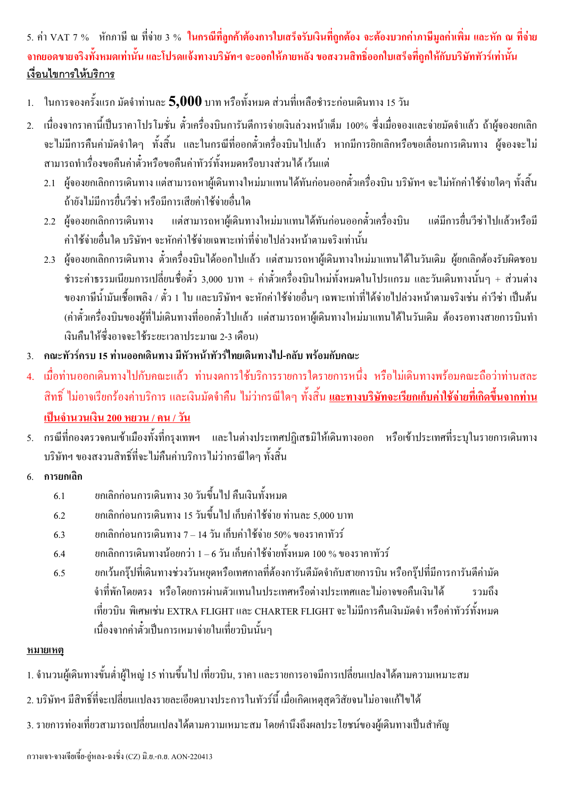#### 5. ค่า VAT 7 % หักภาษี ณ ที่ง่าย 3 % ในกรณีที่ลูกค้าต้องการใบเสร็จรับเงินที่ลูกต้อง จะต้องบวกค่าภาษีมูลค่าเพิ่ม และหัก ณ ที่ง่าย ึ่งากยอดขายงริงทั้งหมดเท่านั้น และโปรดแจ้งทางบริษัทฯ จะออกให้ภายหลัง ขอสงวนสิทธิ์ออกใบเสร็จที่ถูกให้กับบริษัททัวร์เท่านั้น เงื่อนไขการให้บริการ

- 1. ในการจองครั้งแรก มัดจำท่านละ 5,000 บาท หรือทั้งหมด ส่วนที่เหลือชำระก่อนเดินทาง 15 วัน
- เนื่องจากราคานี้เป็นราคาโปรโมชั่น ตั๋วเครื่องบินการันตีการจ่ายเงินล่วงหน้าเต็ม 100% ซึ่งเมื่อจองและจ่ายมัคจำแล้ว ถ้าผู้จองยกเลิก  $2<sup>1</sup>$ ้จะไม่มีการคืนค่ามัคจำใดๆ ทั้งสิ้น และในกรณีที่ออกตั๋วเครื่องบินไปแล้ว หากมีการยิกเลิกหรือขอเลื่อนการเดินทาง ผู้จองจะไม่ ี่ สามารถทำเรื่องขอคืนค่าตั๋วหรือขอคืนค่าทัวร์ทั้งหมดหรือบางส่วนได้ เว้นแต่
	- ่ 2.1 ผ้จองยกเลิกการเดินทาง แต่สามารถหาผู้เดินทางใหม่มาแทนได้ทันก่อนออกตั๋วเครื่องบิน บริษัทฯ จะไม่หักค่าใช้จ่ายใดๆ ทั้งสิ้น ถ้ายังไม่มีการขึ้นวีซ่า หรือมีการเสียค่าใช้จ่ายอื่นใด
	- 2.2 ผู้จองยกเลิกการเดินทาง แต่สามารถหาผู้เดินทางใหม่มาแทนได้ทันก่อนออกตัวเครื่องบิน แต่มีการยื่นวีซ่าไปแล้วหรือมี ้ค่าใช้ถ่ายอื่นใด บริษัทฯ จะหักค่าใช้ถ่ายเฉพาะเท่าที่ถ่ายไปล่วงหน้าตามจริงเท่านั้น
	- ่ 2.3 ผู้จองยกเลิกการเดินทาง ตั๋วเครื่องบินได้ออกไปแล้ว แต่สามารถหาผู้เดินทางใหม่มาแทนได้ในวันเดิม ผู้ยกเลิกต้องรับผิดชอบ ชำระค่าธรรมเนียมการเปลี่ยนชื่อตัว 3,000 บาท + ค่าตั๋วเครื่องบินใหม่ทั้งหมดในโปรแกรม และวันเดินทางนั้นๆ + ส่วนต่าง ีของภาษีน้ำมันเชื้อเพลิง / ตั๋ว 1 ใบ และบริษัทฯ จะหักค่าใช้จ่ายอื่นๆ เฉพาะเท่าที่ได้จ่ายไปล่วงหน้าตามจริงเช่น ค่าวีซ่า เป็นต้น ้ (ค่าตั๋วเครื่องบินของผู้ที่ไม่เดินทางที่ออกตั๋วไปแล้ว แต่สามารถหาผู้เดินทางใหม่มาแทนได้ในวันเดิม ต้องรอทางสายการบินทำ เงินคืนให้ซึ่งอาจจะใช้ระยะเวลาประมาณ 2-3 เดือน)
- 3. คณะทัวร์ครบ 15 ท่านออกเดินทาง มีหัวหน้าทัวร์ไทยเดินทางไป-กลับ พร้อมกับคณะ
- 4. เมื่อท่านออกเดินทางไปกับคณะแล้ว ท่านงดการใช้บริการรายการใครายการหนึ่ง หรือไม่เดินทางพร้อมคณะถือว่าท่านสละ ี่ สิทธิ์ "ไม่อาจเรียกร้องค่าบริการ และเงินมัดจำคืน "ไม่ว่ากรณีใดๆ ทั้งสิ้น <u>และทางบริ<mark>ษัทจะเรียกเก็บค่าใช้จ่ายที่เกิดขึ้นจากท่าน</mark></u> ้เป็นจำนวนเงิน 200 หยวน / คน / วัน
- 5. กรณีที่กองตรวจคนเข้าเมืองทั้งที่กรุงเทพฯ และในต่างประเทศปฏิเสธมิให้เดินทางออก หรือเข้าประเทศที่ระบุในรายการเดินทาง ำเริษัทฯ ของสงวนสิทธิ์ที่จะไม่คืนค่าบริการไม่ว่ากรณีใดๆ ทั้งสิ้น
- การยกเลิก  $6<sup>1</sup>$ 
	- ียกเลิกก่อนการเดินทาง 30 วันขึ้นไป คืนเงินทั้งหมด  $6.1$
	- ียกเลิกก่อนการเดินทาง 15 วันขึ้นไป เก็บค่าใช้จ่าย ท่านละ 5.000 บาท  $6.2$
	- ียกเลิกก่อนการเดินทาง 7 14 วัน เก็บค่าใช้จ่าย 50% ของราคาทัวร์ 6.3
	- ียกเลิกการเดินทางน้อยกว่า 1 6 วัน เก็บค่าใช้จ่ายทั้งหมด 100 % ของราคาทัวร์  $6.4$
	- ยกเว้นกรุ๊ปที่เคินทางช่วงวันหยุดหรือเทศกาลที่ต้องการันตีมัดจำกับสายการบิน หรือกรุ๊ปที่มีการการันตีค่ามัด  $6.5$ ้จำที่พักโดยตรง หรือโดยการผ่านตัวแทนในประเทศหรือต่างประเทศและไม่อาจขอคืนเงินได้ รวมถึง ้เที่ยวบิน พิเศษเช่น EXTRA FLIGHT และ CHARTER FLIGHT จะไม่มีการคืนเงินมัดจำ หรือค่าทัวร์ทั้งหมด เนื่องจากค่าตั๋วเป็นการเหมาจ่ายในเที่ยวบินนั้นๆ

#### หมายเหตุ

- 1. จำนวนผู้เดินทางขั้นต่ำผู้ใหญ่ 15 ท่านขึ้นไป เที่ยวบิน, ราคา และรายการอาจมีการเปลี่ยนแปลงได้ตามความเหมาะสม
- ่ 2. บริษัทฯ มีสิทธิ์ที่จะเปลี่ยนแปลงรายละเอียดบางประการในทัวร์นี้ เมื่อเกิดเหตสควิสัยจนไม่อาจแก้ไขได้
- ่ 3. รายการท่องเที่ยวสามารถเปลี่ยนแปลงใด้ตามความเหมาะสม โดยคำนึงถึงผลประโยชน์ของผู้เดินทางเป็นสำคัญ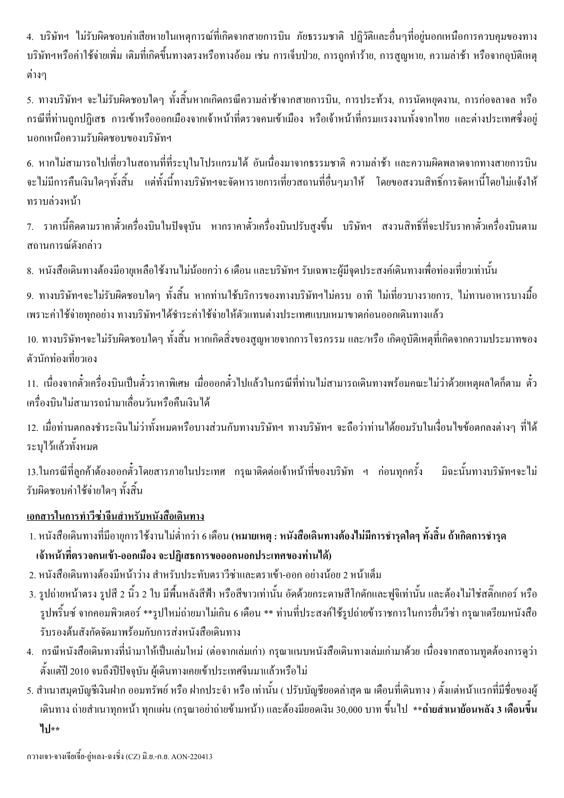่ 4. บริษัทฯ ไม่รับผิดชอบค่าเสียหายในเหตุการณ์ที่เกิดจากสายการบิน ภัยธรรมชาติ ปฏิวัติและอื่นๆที่อยู่นอกเหนือการควบคุมของทาง ้บริษัทฯหรือค่าใช้จ่ายเพิ่ม เติมที่เกิดขึ้นทางตรงหรือทางอ้อม เช่น การเจ็บป่วย, การถูกทำร้าย, การสูญหาย, ความล่าช้า หรือจากอุบัติเหตุ ต่างๆ

่ 5. ทางบริษัทฯ จะไม่รับผิดชอบใดๆ ทั้งสิ้นหากเกิดกรณีความล่าช้าจากสายการบิน, การประท้วง, การนัดหยุดงาน, การก่อจลาจล หรือ ึกรณีที่ท่านถูกปฏิเสธ การเข้าหรือออกเมืองจากเจ้าหน้าที่ตรวจคนเข้าเมือง หรือเจ้าหน้าที่กรมแรงงานทั้งจากไทย และต่างประเทศซึ่งอยู่ นอกเหนือความรับผิดชอบของบริษัทฯ

6. หากไม่สามารถไปเที่ยวในสถานที่ที่ระบุในโปรแกรมได้ อันเนื่องมาจากธรรมชาติ ความล่าช้า และความผิดพลาดจากทางสายการบิน ้จะไม่มีการคืนเงินใดๆทั้งสิ้น แต่ทั้งนี้ทางบริษัทฯจะจัดหารายการเที่ยวสถานที่อื่นๆมาให้ โดยขอสงวนสิทธิ์การจัดหานี้โดยไม่แจ้งให้ ทราบล่วงหน้า

่ 7. ราคานี้คิดตามราคาตั๋วเครื่องบินในปัจจบัน หากราคาตั๋วเครื่องบินปรับสงขึ้น บริษัทฯ สงวนสิทธิ์ที่จะปรับราคาตั๋วเครื่องบินตาม สถานการณ์ดังกล่าว

่ 8. หนังสือเดินทางต้องมีอายุเหลือใช้งานไม่น้อยกว่า 6 เดือน และบริษัทฯ รับเฉพาะผู้มีจุดประสงค์เดินทางเพื่อท่องเที่ยวเท่านั้น

9. ทางบริษัทฯจะไม่รับผิดชอบใดๆ ทั้งสิ้น หากท่านใช้บริการของทางบริษัทฯไม่ครบ อาทิ ไม่เที่ยวบางรายการ, ไม่ทานอาหารบางมื้อ ้ เพราะค่าใช้จ่ายทุกอย่าง ทางบริษัทฯ ได้ชำระค่าใช้จ่ายให้ตัวแทนต่างประเทศแบบเหมาขาดก่อนออกเดินทางแล้ว

10. ทางบริษัทฯจะไม่รับผิดชอบใดๆ ทั้งสิ้น หากเกิดสิ่งของสฌหายจากการโจรกรรม และ/หรือ เกิดอบัติเหตที่เกิดจากความประมาทของ ตัวนักท่องเที่ยวเอง

11. เนื่องจากตั๋วเครื่องบินเป็นตั๋วราคาพิเศษ เมื่อออกตั๋วไปแล้วในกรณีที่ท่านไม่สามารถเดินทางพร้อมคณะไม่ว่าด้วยเหตุผลใดก็ตาม ตั๋ว เครื่องบินไม่สามารถนำมาเลื่อนวันหรือคืนเงินได้

12. เมื่อท่านตกลงชำระเงินไม่ว่าทั้งหมดหรือบางส่วนกับทางบริษัทฯ ทางบริษัทฯ จะถือว่าท่านได้ยอมรับในเงื่อนไขข้อตกลงต่างๆ ที่ได้ ระบไว้แล้วทั้งหมด

13.ในกรณีที่ลูกค้าต้องออกตั๋วโดยสารภายในประเทศ กรุณาติดต่อเจ้าหน้าที่ของบริษัท ฯ ก่อนทุกครั้ง มิฉะนั้นทางบริษัทฯจะไม่ รับผิดชอบค่าใช้จ่ายใดๆ ทั้งสิ้น

#### <u>เอกสารในการทำวีซ่าจีนสำหรับหนังสือเดินทาง</u>

- 1. หนังสือเดินทางที่มีอายุการใช้งานไม่ต่ำกว่า 6 เดือน (หมายเหตุ : หนังสือเดินทางต้องไม่มีการชำรุดใดๆ ทั้งสิ้น ถ้าเกิดการชำรุด ้ เจ้าหน้าที่ตรวจคนเข้า-ออกเมือง จะปฏิเสธการขอออกนอกประเทศของท่านได้)
- 2. หนังสือเดินทางต้องมีหน้าว่าง สำหรับประทับตราวีซ่าและตราเข้า-ออก อย่างน้อย 2 หน้าเต็ม
- 3. รูปถ่ายหน้าตรง รูปสี 2 นิ้ว 2 ใบ มีพื้นหลังสีฟ้า หรือสีขาวเท่านั้น อัดด้วยกระดาษสีโกดักและฟูจิเท่านั้น และต้องไม่ใช่สติ๊กเกอร์ หรือ รูปพริ้นซ์ จากคอมพิวเตอร์ \*\*รูปใหม่ถ่ายมาไม่เกิน 6 เดือน \*\* ท่านที่ประสงค์ใช้รูปถ่ายข้าราชการในการยื่นวีซ่า กรุณาเตรียมหนังสือ รับรองต้บสังกัดจัดบาพร้อบกับการส่งหบังสือเดิบทาง
- 4. กรณีหนังสือเดินทางที่นำมาให้เป็นเล่มใหม่ (ต่อจากเล่มเก่า) กรุณาแนบหนังสือเดินทางเล่มเก่ามาด้วย เนื่องจากสถานทูตต้องการดูว่า ้ตั้งแต่ปี 2010 จนถึงปีปัจจบัน ผู้เดินทางเกยเข้าประเทศจีนมาแล้วหรือไม่
- ่ 5. สำเนาสมคบัญชีเงินฝาก ออมทรัพย์ หรือ ฝากประจำ หรือ เท่านั้น ( ปรับบัญชียอคล่าสค ณ เคือนที่เคินทาง ) ตั้งแต่หน้าแรกที่มีชื่อของผ้ ้เดินทาง ถ่ายสำเนาทุกหน้า ทุกแผ่น (กรุณาอย่าถ่ายข้ามหน้า) และต้องมียอดเงิน 30,000 บาท ขึ้นไป \*\***ถ่ายสำเนาย้อนหลัง 3 เดือนขึ้น** ไป∗∗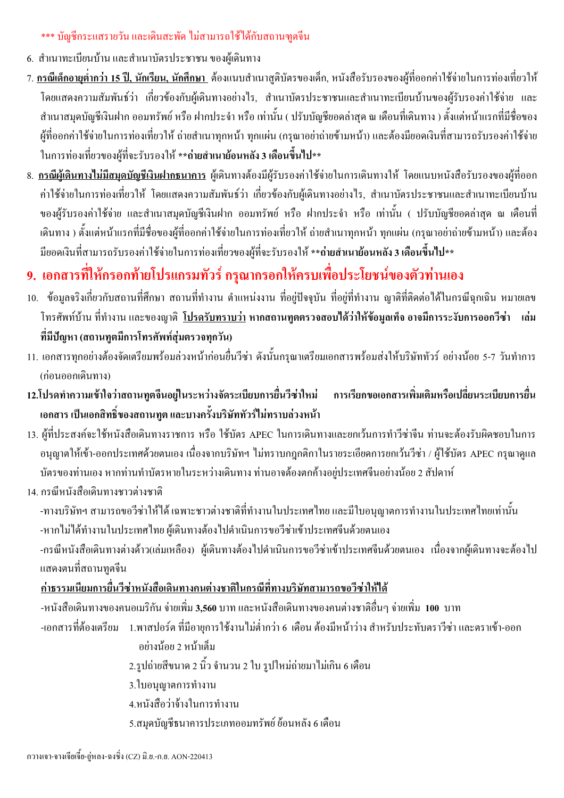#### \*\*\* บัญชีกระแสรายวัน และเดินสะพัด ไม่สามารถใช้ได้กับสถานฑูตจีน

- 6. สำเนาทะเบียนบ้าน และสำเนาบัตรประชาชน ของผู้เดินทาง
- ่ 7. กรณีเด็กอายต่ำกว่า 15 ปี, นักเรียน, นักศึกษา ต้องแนบสำเนาสติบัตรของเด็ก, หนังสือรับรองของผู้ที่ออกค่าใช้จ่ายในการท่องเที่ยวให้ โดยแสดงความสัมพันธ์ว่า เกี่ยวข้องกับผู้เดินทางอย่างไร, สำเนาบัตรประชาชนและสำเนาทะเบียนบ้านของผู้รับรองค่าใช้จ่าย และ ี สำเนาสมุดบัญชีเงินฝาก ออมทรัพย์ หรือ ฝากประจำ หรือ เท่านั้น ( ปรับบัญชียอดล่าสุด ณ เดือนที่เดินทาง ) ตั้งแต่หน้าแรกที่มีชื่อของ ้ผู้ที่ออกค่าใช้จ่ายในการท่องเที่ยวให้ ถ่ายสำเนาทุกหน้า ทุกแผ่น (กรุณาอย่าถ่ายข้ามหน้า) และต้องมียอดเงินที่สามารถรับรองค่าใช้จ่าย ในการท่องเที่ยวของผู้ที่จะรับรองให้ \*\*ถ่ายสำเนาย้อนหลัง 3 เดือนขึ้นไป\*\*
- ่ 8. <u>กรณีผู้เดินทางไม่มีสมุดบัญชีเงินฝากธนาคาร</u> ผู้เดินทางต้องมีผู้รับรองค่าใช้ง่ายในการเดินทางให้ โดยแนบหนังสือรับรองของผู้ที่ออก ี ค่าใช้จ่ายในการท่องเที่ยวให้ โดยแสดงความสัมพันธ์ว่า เกี๋ยวข้องกับผู้เดินทางอย่างไร, สำเนาบัตรประชาชนและสำเนาทะเบียนบ้าน ของผู้รับรองค่าใช้จ่าย และสำเนาสมุดบัญชีเงินฝาก ออมทรัพย์ หรือ ฝากประจำ หรือ เท่านั้น ( ปรับบัญชียอดล่าสุด ณ เดือนที่ ้เดินทาง ) ตั้งแต่หน้าแรกที่มีชื่อของผู้ที่ออกค่าใช้จ่ายในการท่องเที่ยวให้ ถ่ายสำเนาทุกหน้า ทุกแผ่น (กรุณาอย่าถ่ายข้ามหน้า) และต้อง มียอดเงินที่สามารถรับรองค่าใช้ง่ายในการท่องเที่ยวของผู้ที่จะรับรองให้ \*\*ถ่ายสำเนาย้อนหลัง 3 เดือนขึ้นไป\*\*

### 9. เอกสารที่ให้กรอกท้ายโปรแกรมทัวร์ กรุณากรอกให้ครบเพื่อประโยชน์ของตัวท่านเอง

- 10. ข้อมูลจริงเกี่ยวกับสถานที่สึกษา สถานที่ทำงาน ตำแหน่งงาน ที่อยู่ปัจจุบัน ที่อยู่ที่ทำงาน ญาติที่ติดต่อได้ในกรณีฉุกเฉิน หมายเลข โทรศัพท์บ้าน ที่ทำงาน และของฌาติ โปรดรับทราบว่า หากสถานทตตรวจสอบได้ว่าให้ข้อมลเท็จ อาจมีการระงับการออกวีซ่า …เล่ม ี่ที่มีปัญหา (สถานทูตมีการโทรศัพท์สุ่มตรวจทุกวัน)
- 11. เอกสารทุกอย่างต้องจัดเตรียมพร้อมล่วงหน้าก่อนยื่นวีซ่า ดังนั้นกรุณาเตรียมเอกสารพร้อมส่งให้บริษัททัวร์ อย่างน้อย 5-7 วันทำการ (ก่อนออกเดินทาง)
- 12.โปรดทำความเข้าใจว่าสถานทูตจีนอยู่ในระหว่างจัดระเบียบการยื่นวีซ่าใหม่ การเรียกขอเอกสารเพิ่มเติมหรือเปลี่ยนระเบียบการยื่น เอกสาร เป็นเอกสิทธิ์ของสถานทูต และบางครั้งบริษัททัวร์ไม่ทราบล่วงหน้า
- 13. ผู้ที่ประสงค์จะใช้หนังสือเดินทางราชการ หรือ ใช้บัตร APEC ในการเดินทางและยกเว้นการทำวีซ่าจีน ท่านจะต้องรับผิดชอบในการ ือนุญาตให้เข้า-ออกประเทศด้วยตนเอง เนื่องจากบริษัทฯ ไม่ทราบกฎกติกาในรายระเอียดการยกเว้นวีซ่า / ผู้ใช้บัตร APEC กรุณาดูแล ้ บัตรของท่านเอง หากท่านทำบัตรหายในระหว่างเดินทาง ท่านอาจต้องตกค้างอย่ประเทศจีนอย่างน้อย 2 สัปดาห์
- 14 กรณีหนังสือเดินทางชาวต่างชาติ
	- -ทางบริษัทฯ สามารถขอวีซ่าให้ได้ เฉพาะชาวต่างชาติที่ทำงานในประเทศไทย และมีใบอนุญาตการทำงานในประเทศไทยเท่านั้น -หากไม่ได้ทำงานในประเทศไทย ผู้เดินทางต้องไปดำเนินการขอวีซ่าเข้าประเทศจีนด้วยตนเอง

-กรณีหนังสือเดินทางต่างด้าว(เล่มเหลือง) ผู้เดินทางต้องไปดำเนินการขอวีซ่าเข้าประเทศจีนด้วยตนเอง เนื่องจากผู้เดินทางจะต้องไป แสดงตนที่สถานทูตจีน

#### ้ ค่ำธรรมเนียมการยื่นวีซ่าหนังสือเดินทางคนต่างชาติในกรณีที่ทางบริษัทสามารถขอวีซ่าให้ได้

-หนังสือเดินทางของคนอเมริกัน จ่ายเพิ่ม 3,560 บาท และหนังสือเดินทางของคนต่างชาติอื่นๆ จ่ายเพิ่ม 100 บาท -เอกสารที่ต้องเตรียม 1.พาสปอร์ต ที่มีอายการใช้งานไม่ต่ำกว่า 6 เดือน ต้องมีหน้าว่าง สำหรับประทับตราวีซ่า และตราเข้า-ออก

อย่างน้อย 2 หน้าเต็ม

่ 2.รูปถ่ายสีขนาด 2 นิ้ว จำนวน 2 ใบ รูปใหม่ถ่ายมาไม่เกิน 6 เดือน

- 3.ใบอนฌาตการทำงาน
- 4 หนังสือว่าจ้างในการทำงาน
- 5.สมุดบัญชีธนาคารประเภทออมทรัพย์ ย้อนหลัง 6 เดือน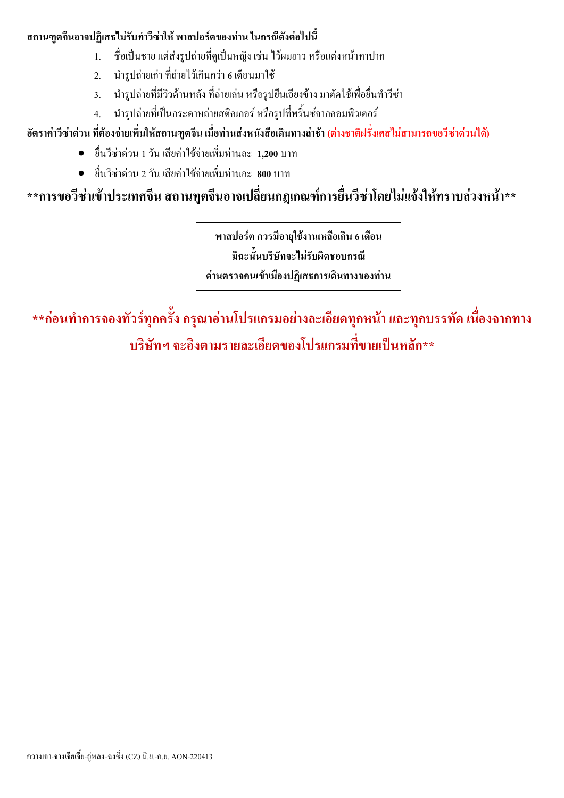#### ิสถานฑตจีนอาจปฏิเสธไม่รับทำวีซ่าให้ พาสปอร์ตของท่าน ในกรณีดังต่อไปนี้

- ชื่อเป็นชาย แต่ส่งรูปถ่ายที่ดูเป็นหญิง เช่น ไว้ผมยาว หรือแต่งหน้าทาปาก  $\mathbf{1}$
- นำรูปถ่ายเก่า ที่ถ่ายไว้เกินกว่า 6 เดือนมาใช้  $2.$
- นำรูปถ่ายที่มีวิวด้านหลัง ที่ถ่ายเล่น หรือรูปยืนเอียงข้าง มาตัดใช้เพื่อยื่นทำวีซ่า  $3<sub>1</sub>$
- นำรูปถ่ายที่เป็นกระดาษถ่ายสติกเกอร์ หรือรูปที่พริ้นซ์จากกอมพิวเตอร์  $4<sup>1</sup>$

#### ี อัตราค่าวีซ่าด่วน ที่ต้องจ่ายเพิ่มให้สถานฑูตจีน เมื่อท่านส่งหนังสือเดินทางล่าช้า (ต่างชาติฝรั่งเศสไม่สามารถขอวีซ่าด่วนได้)

- ยื่นวีซ่าด่วน 1 วัน เสียค่าใช้จ่ายเพิ่มท่านละ 1.200 บาท
- ้ ยื่นวีซ่าด่วน 2 วัน เสียค่าใช้ถ่ายเพิ่มท่านละ **800** บาท

### \*\*การขอวีซ่าเข้าประเทศจีน สถานทูตจีนอาจเปลี่ยนกฎเกณฑ์การยื่นวีซ่าโดยไม่แจ้งให้ทราบล่วงหน้า\*\*

พาสปอร์ต ควรมือายุใช้งานเหลือเกิน 6 เดือน มิฉะนั้นบริษัทจะไม่รับผิดชอบกรณี

ด่านตรวจคนเข้าเมืองปฏิเสธการเดินทางของท่าน

\*\*ก่อนทำการจองทัวร์ทุกครั้ง กรุณาอ่านโปรแกรมอย่างละเอียดทุกหน้า และทุกบรรทัด เนื่องจากทาง ้บริษัทฯ จะอิงตามรายละเอียดของโปรแกรมที่ขายเป็นหลัก\*\*